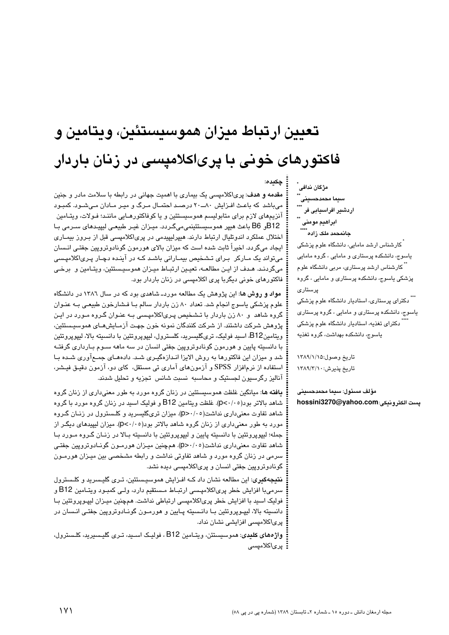# تعيين ارتباط ميزان هموسيستئين، ويتامين و فاکتورهای خونی با پریاکلامیسی در زنان باردار

چکىدە:

مقدمه و هدف: پریاکلامیسی یک بیماری با اهمیت جهانی در رابطه با سلامت مادر و جنین می باشد که باعث افزایش ۸۰ـ ۲۰ درصد احتمـال مـرگ و میـر مـادان مـی شـود. کمبـود آنزیمهای لازم برای متابولیسم هموسیستئین و یا کوفاکتورهـایی ماننـد؛ فـولات، ویتـامین B12و B6 باعث هیپر هموسیستئینمیمیگردد. میـزان غیـر طبیعـی لیپیـدهای سـرمی بـا اختلال عملکرد اندوتلیال ارتباط دارند. هیپرلیپیدمی در پری|کلامپسی قبل از بـروز بیمــاری ایجاد میگردد. اخیراً ثابت شده است که میزان بالای هورمون گونادوتروپین جفتـی انـسان می تواند یک مـارکر بـرای تـشـخیص بیمـارانی باشـد کـه در آینـده دچـار پـری/کلامپـسی میگردنـد. هـدف از ایـن مطالعـه، تعیـین ارتبـاط میـزان هموسیـستئین، ویتـامین و برخـی فاکتورهای خونی دیگربا پری اکلامپسی در زنان باردار بود.

مواد و روش ها: این پژوهش یک مطالعه موردـ شاهدی بود که در سال ۱۳۸۲ در دانشگاه علوم پزشکی یاسوج انجام شد. تعداد ۸۰ زن باردار سالم بـا فـشارخون طبیعـی بـه عنـوان گروه شاهد و ۸۰ زن باردار با تـشـخیص پـری|کلامپـسی بـه عنـوان گـروه مـورد در ایـن يژوهش شرکت داشتند. از شرکت کنندگان نمونه خون جهت آزمـایشهـای هموسیـستئین، ويتامينB12، اسيد فوليک، تریگلیسريد، کلسترول، ليپوپروتئين با دانسيته بالا، ليپوپروتئين با دانسیته پایین و هورمون گونادوتروپین جفتی انسان در سه ماهه ســوم بــارداری گرفتــه شد و میزان این فاکتورها به روش الایزا انـدازهگیـری شـد. دادههـای جمـع|وری شـده بـا استفاده از نرم|فزار SPSS و آزمون۱ای آماری تی مستقل، کای دو، آزمون دقیـق فیـشر، آناليز رگرسيون لجستيک و محاسبه نسبت شانس تجزيه و تحليل شدند.

**یافته ها**: میانگین غلظت هموسیستئین در زنان گروه مورد به طور معنیداری از زنان گروه شاهد بالاتر بود(۶٬/۰۰). غلظت ویتامین B12 و فولیک اسید در زنان گروه مورد با گروه شاهد تفاوت معنیداری نداشت(۶۰/۰٥). میزان تریگلیسرید و کلـسترول در زنـان گـروه مورد به طور معنیداری از زنان گروه شاهد بالاتر بود(p<۰/۰۵). میزان لیپیدهای دیگـر از جمله؛ لیپوپروتئین با دانسیته پایین و لیپوپروتئین با دانسیته بـالا در زنـان گـروه مـورد بـا شاهد تفاوت معنیداری نداشت(۶۰/۰۵). همچنین میـزان هورمـون گونــادوتروپین جفتـی سرمی در زنان گروه مورد و شاهد تفاوتی نداشت و رابطه مشخصی بین میـزان هورمـون گونادوترویین جفتی انسان و پریاکلامیسی دیده نشد.

نتیجهگیری: این مطالعه نشان داد کـه افـزایش هموسیـستئین، تـری گلیـسرید و کلـسترول سرميبا افزايش خطر پري|كلامپسى ارتبـاط مـستقيم دارد، ولـي كمبـود ويتـامين B12 و فولیک اسید با افزایش خطر پری|کلامیسی ارتباطی نداشت. همچنین میـزان لیپـویروتئین بـا دانسیته بالا، لیپـوپروتئین بـا دانـسیته پـایین و هورمـون گونــادوتروپین جفتـی انـسان در پریاکلامپسی افزایشی نشان نداد.

واژههای کلیدی: هموسیستئن، ویتـامین B12 ، فولیـک اسـید، تـری گلیـسیرید، کلـسترول، : یر*ی*اکلامی*سی* 

مژگان ندافی اردشیر افراسیابی فر ابراهيم مومئى جانمحمد ملک زاده ً َ کارشناس ارشد مامایی، دانشگاه علوم پزشکی یاسوج، دانشکده پرستاری و مامایی ، گروه مامایی

<sup>ٔ</sup> کارشناس ارشد پرستار*ی*، مربی دانشگاه علوم یزشکی باسوج، دانشکده پرستاری و مامایی ، گروه يرستارى

<sup>\*\*</sup> دکترای پرستاری، استادیار دانشگاه علوم پزشکی یاسوج، دانشکده پرستاری و مامایی ، گروه پرستاری دکترای تغذیه، استادیار دانشگاه علوم پزشکی ياسوج، دانشكده بهداشت، گروه تغذيه

تاريخ وصول:١٣٨٩/١/١٥ تاريخ پذيرش: ١٣٨٩/٣/١

مؤلف مسئول: سيما محمدحسينى hossini3270@yahoo.com:يست الكتروندي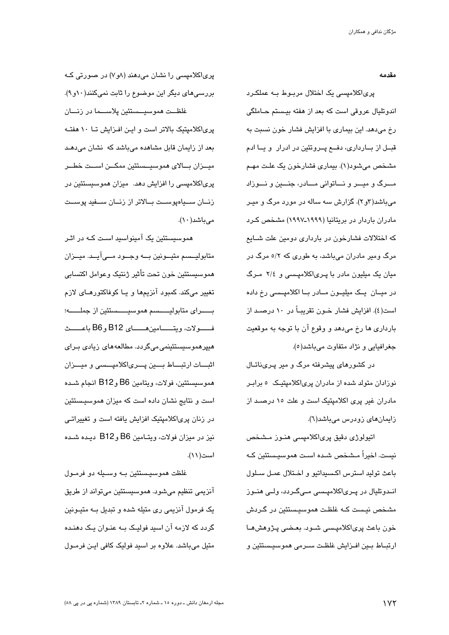مقدمه

پریاکلامپسی یک اختلال مربـوط بـه عملکـرد اندوتليال عروقي است كه بعد از هفته بيستم حـاملگي رخ میدهد. این بیماری با افزایش فشار خون نسبت به قبــل از بـــارداری، دفـــع پـــروتئین در ادرار و یــا ادم مشخص میشود(۱). بیماری فشارخون یک علت مهـم مسرگ و میسر و نساتوانی مسادر، جنسین و نسوزاد میباشد(۳و۲). گزارش سه ساله در مورد مرگ و میـر مادران باردار در بریتانیا (۱۹۹۹ـ۱۹۹۷) مشخص کـرد که اختلالات فشارخون در بارداری دومین علت شـایع مرگ ومیر مادران میباشد، به طوری که ۵/۲ مرگ در میان یک میلیون مادر با پریاکلامپسی و ٢/٤ مرگ در میــان یــک میلیــون مــادر بــا اکلامپــسی رخ داده است(٤). افزایش فشار خــون تقریبــاً در ١٠ درصــد از بارداری ها رخ میدهد و وقوع آن با توجه به موقعیت جغرافيايي و نژاد متفاوت ميباشد(٥).

در کشورهای پیشرفته مرگ و میر پـریناتـال نوزادان متولد شده از مادران پریاکلامپتیک ۵ برابـر مادران غیر پری اکلامیتیک است و علت ١٥ درصـد از زایمانهای زودرس میباشد(٦).

اتیولوژی دقیق پریاکلامپسی هنـوز مـشخص نيست. اخيراً مـشخص شـده اسـت هموسيـستئين كـه باعث توليد استرس اكسيداتيو و اختلال عمـل سـلول انــدوتلیال در پــری|کلامپــسی مــیگــردد، ولــی هنــوز مشخص نيست کـه غلظـت هموسيـستئين در گـردش خون باعث پریاکلامپسی شـود. بعـضی پـژوهش۵ـا ارتبــاط بــين افــزايش غلظـت ســرمى هموسىيــستئين و

پریاکلامیسی را نشان میدهند (۸و۷) در صورتی کـه بررسی های دیگر این موضوع را ثابت نمیکنند(۱۰و۹). غلظــت هموسيــستئين يلاســـما در زنـــان یری/کلامیتیک بالاتر است و این افیزایش تبا ۱۰ هفتیه بعد از زایمان قابل مشاهده میباشد که نشان میدهـد ميـــزان بـــالاي هموسىيــستئين ممكـــن اســـت خطـــر پریاکلامیسی را افزایش دهد. میزان هموسیستئین در زنــان ســياەيوســت بــالاتر از زنــان ســفيد يوســت مے ماشد (١٠).

هموسیستئین یک آمینواسید است کـه در اثـر متابوليــسم متيــونين بـــه وجــود مـــىآيــد. ميــزان هموسيستئين خون تحت تأثير ژنتيک وعوامل اكتسابي تغییر میکند. کمبود آنزیمها و یـا کوفاکتورهـای لازم بــــــرای متابولیــــــسم هموسیـــــستئین از جملـــــــه؛ فـــــولات، ويتــــــامين،هــــــاي B12 وB6 باعـــــث هیپرهموسیستئینمی میگردد. مطالعههای زیادی بـرای اثبــات ارتبـــاط بـــين پـــرىاكلامپـــسى و ميـــزان هموسيستئين، فولات، ويتامين B6 وB12 انجام شـده است و نتایج نشان داده است که میزان هموسیستئین در زنان پری|کلامیتیک افزایش یافته است و تغییراتـی نیز در میزان فولات، ویتـامین B6 وB12 دیـده شـده است(۱۱).

غلظت هموسیستئین بــه وســیله دو فرمــول آنزیمی تنظیم میشود. هموسیستئین میتواند از طریق یک فرمول آنزیمی ری متیله شده و تبدیل بــه متیـونین گردد که لازمه آن اسید فولیک بــه عنــوان یــک دهنــده متیل میباشد. علاوه بر اسید فولیک کافی ایـن فرمـول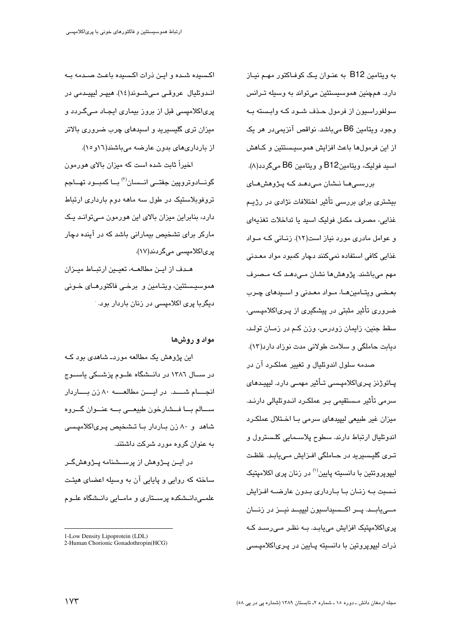به ویتامین B12 به عنبوان یک کوفیاکتور مهیم نیباز دارد. همچنین هموسیستئین میتواند به وسیله تـرانس سولفوراسيون از فرمول حـذف شـود كـه وابـسته بـه وجود ويتامين B6 مي باشد. نواقص آنزيمي در هر يک از این فرمولها باعث افزایش هموسیستئین و کـاهش اسید فولیک، ویتامینB12 و ویتامین B6 میگردد(۸). بررسے ھا نـشان مے دھـد کـه پـژوهش هـای

بیشتری برای بررسی تأثیر اختلافات نژادی در رژیـم غذایی، مصرف مکمل فولیک اسید یا تداخلات تغذیهای و عوامل مادری مورد نیاز است(۱۲). زنبانی کـه مـواد غذایی کافی استفاده نمیکنند دچار کمبود مواد معـدنی مهم میباشند. پژوهشها نشان مےدهـد کـه مـصرف بعـضی ویتـامینهـا، مـواد معـدنی و اسـیدهای چـرب ضروری تأثیر مثبتی در پیشگیری از پـریاکلامپـسی، سقط جنین، زایمان زودرس، وزن کـم در زمـان تولـد، دیابت حاملگی و سلامت طولانی مدت نوزاد دارد(١٣).

صدمه سلول اندوتلیال و تغییر عملکـرد آن در پــاتوژنز پــری|کلامپــسی تــأثیر مهمــی دارد. لیپیــدهای سرمي تأثير مـستقيمي بـر عملكـرد انـدوتليالي دارنـد. میزان غیر طبیعی لیپیدهای سرمی با اختلال عملکرد اندوتليال ارتباط دارند. سطوح پلاسـمايي كلـسترول و تـری گلیـسیرید در حـاملگی افـزایش مـییابـد. غلظـت لیپوپروتئین با دانسیته پایین<sup>(۱</sup>) در زنان پری اکلامپتیک نسبت بـه زنـان بـا بـارداری بـدون عارضـه افـزایش مــیابــد. پــر اکــسیداسیون لیپیــد نیــز در زنــان پری|کلامپتیک افزایش مییابـد. بــه نظـر مــیرسـد کــه ذرات لیپوپروتین با دانسیته پــایین در پــریاکلامپــسی

اکسیده شیده و این ذرات اکسیده باعث صیدمه یه انـدوتليال عروقـي مـيشـوند(١٤). هيپـر ليپيـدمي در پریاکلامیسی قبل از بروز بیماری ایجـاد مـیگـردد و میزان تری گلسبرید و استدهای چرب ضروری بالاتر از بارداریهای بدون عارضه میباشند(١٦و ١٥).

اخیراً ثابت شده است که میزان بالای هورمون گونــادوتروپین جفتــی انــسان<sup>(۲)</sup> بــا کمبــود تهــاجم تروفوبلاستیک در طول سه ماهه دوم بارداری ارتباط دارد، بنابراین میزان بالای این هورمون مےتوانـد یـک مارکر برای تشخیص بیمارانی باشد که در آینده دچار یریاکلامیسی میگردند(۱۷).

هـدف از ايـن مطالعــه، تعيـين ارتبــاط ميـزان هموسیستئین، ویتـامین و برخـی فاکتورهـای خـونی دیگربا پری اکلامیسی در زنان باردار بود.

### مواد و روشها

این پژوهش یک مطالعه موردـ شاهدی بود کــه در ســال ١٣٨٦ در دانــشگاه علــوم پزشــكى ياســوج انجسام شسد. در ایسن مطالعسه ۸۰ زن بساردار ســالم بــا فــشارخون طبيعـــي بــه عنــوان گــروه شاهد و ۸۰ زن بـاردار بـا تـشخیص پـریاکلامیـسی به عنوان گروه مورد شرکت داشتند.

در ایــن پــژوهش از پرســـشنامه پــژوهشگــر ساخته که روایی و پایایی آن به وسیله اعضای هیئت علمــیدانــشکده پرســتاری و مامــایی دانــشگاه علــوم

<sup>1-</sup>Low Density Lipoprotein (LDL) 2-Human Chorionic Gonadothropin(HCG)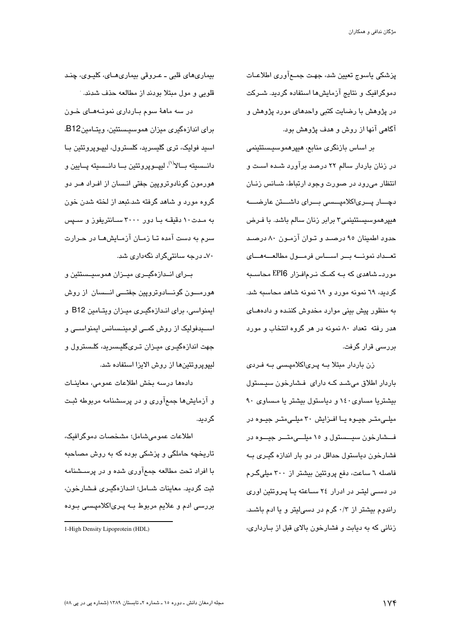پزشکی پاسوج تعیین شد، جهت جمعآوری اطلاعـات دموگرافیک و نتایج آزمایشها استفاده گردید. شـرکت در پژوهش با رضایت کتبی واحدهای مورد پژوهش و آگاهی آنها از روش و هدف پژوهش بود.

بر اساس بازنگری منابع، هیپرهموسیستئینمی در زنان باردار سالم ۲۲ درصد برآورد شـده اسـت و انتظار می رود در صورت وجود ارتباط، شبانس زنبان دچـــار پـــرىاكلاميـــسى بـــراى داشـــتن عارضــــه هیپرهموسیستئینمی۳ برابر زنان سالم باشد. با فـرض حدود اطمینان ۹۵ درصـد و تـوان آزمـون ۸۰ درصـد تعدداد نمونه بر اساس فرمول مطالعه اى موردـ شاهدی که بــه کمــک نــرم|فــزار EPI6 محاســبه گردید، ٦٩ نمونه مورد و ٦٩ نمونه شاهد محاسبه شد. به منظور پیش بینی موارد مخدوش کننـده و دادههـای هدر رفته تعداد ۸۰ نمونه در هر گروه انتخاب و مورد بررسے قرار گرفت.

زن باردار مبتلا بــه پـریاکلامپـسی بــه فـردی باردار اطلاق میشد که دارای فشارخون سیستول بیشتریا مساوی ١٤٠ و دیاستول بیشتر یا مساوی ٩٠ میلے،متــر جیــوه یــا افــزایش ۳۰ میلــی،متــر جیــوه در فشارخون سیستول و ۱۰ میلسی متسر جیسوه در فشارخون دیاستول حداقل در دو بار اندازه گیـری بـه فاصله ٦ ساعت، دفع پروتئین بیشتر از ۳۰۰ میلیگرم در دستی لیتـر در ادرار ٢٤ سـاعته یـا پـروتئین اوری راندوم بیشتر از ۰/۳ گرم در دسی لیتر و یا ادم باشد. زنانی که به دیابت و فشارخون بالای قبل از بـارداری،

بيماري هاي قلبي ــ عـروقي بيماري هــاي، كليـوي، چنـد قلویی و مول مبتلا بودند از مطالعه حذف شدند.

در سه ماههٔ سوم بارداری نمونـههـای خـون برای اندازهگیری میزان هموسیستئین، ویتـامینB12، اسید فولیک، تری گلیسرید، کلسترول، لیپوپروتئین با دانــسيته بــالا<sup>(١)</sup>، لييــويروتئين بــا دانــسيته يــايين و هورمون گونادوترویین جفتی انسان از افـراد هـر دو گروه مورد و شاهد گرفته شد.ئبعد از لخته شدن خون به مدت ۱۰ دقیقـه بـا دور ۳۰۰۰ سـانتریفوز و سـپس سرم به دست آمده تـا زمـان آزمـایش۵ـا در حـرارت ۷۰ـ درجه سانتیگراد نگهداری شد.

بــرای انــدازهگیــری میــزان هموسیــستئین و هورمسون گونسادوتروپین جفتسی انسسان از روش ایمنواسی، برای انـدازهگیـری میـزان ویتـامین B12 و اســیدفولیک از روش کمــی لومینــسانس ایمنواســی و جهت اندازهگیـری میـزان تـریگلیـسرید، کلـسترول و ليپوپروتئينها از روش الايزا استفاده شد.

دادهها درسه بخش اطلاعات عمومي، معاينـات و آزمایشها جمعآوری و در پرسشنامه مربوطه ثبت گردید.

اطلاعات عمومي شامل؛ مشخصات دموكرافيك، تاریخچه حاملگی و پزشکی بوده که به روش مصاحبه با افراد تحت مطالعه جمعآوری شده و در پرســشنامه ثبت گردید. معاینات شیامل؛ انیدازهگیری فشارخون، بررسی ادم و علایم مربوط بـه پـریاکلامپـسی بـوده

<sup>1-</sup>High Density Lipoprotein (HDL)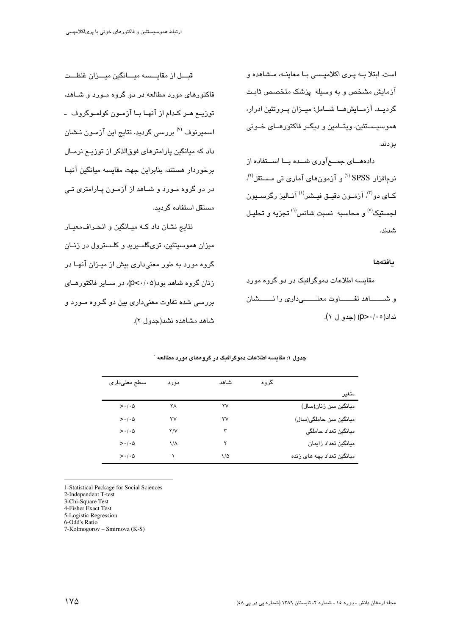است. ابتلا به پری اکلامپسی با معاینه، مشاهده و آزمایش مشخص و به وسیله پزشک متخصص ثابت گرديــد. آزمــايشهــا شــامل؛ ميــزان پــروتئين ادرار، هموسیـستئین، ویتــامین و دیگــر فاکتورهــای خــونی ىو دند.

دادههـــای جمـــع آوری شـــده بـــا اســـتفاده از  $\alpha^{(8)}$ نر مافزار  $\text{SPSS}^{(9)}$ و آزمونهای آماری تی مستقل ڪاي دو<sup>(۳)</sup>، آزمـون دقيـق فيـشر<sup>(٤)</sup> آنباليز رڳرسيـيون لجستنک<sup>(٥)</sup> و محاسبه نسبت شانس<sup>(٦)</sup> تجزیه و تحلیل شدند.

#### بافتهها

مقایسه اطلاعات دموگرافیک در دو گروه مورد و شـــــاهد تفـــــاوت معنــــــىدارى را نـــــشان نداد(۲۰*۰–*p) (جدو ل ۱).

قبـــل از مقايـــسه ميـــانگين ميـــزان غلظـــت فاکتورهای مورد مطالعه در دو گروه مـورد و شــاهد، توزييع هير ڪدام از آنهيا بيا آزميون کولمبوگروف ايا اسمیرنوف <sup>(۷)</sup> بررسی گردید. نتایج این آزمـون نـشان داد که میانگین پارامترهای فوقالذکر از توزیــع نرمــال برخوردار هستند، بنابراین جهت مقاسیه میانگین آنهیا در دو گروه مـورد و شــاهد از آزمـون پــارامتری تــی مستقل استفاده گردید.

نتایج نشان داد که میـانگین و انحـرافمعیـار میزان هموسیتئین، تریگلسیرید و کلـسترول در زنــان گروه مورد به طور معنیداری بیش از میـزان آنهـا در زنان گروه شاهد بود(۶۰/۰۵)، در سیایر فاکتورهیای پر رسے شدہ تفاوت معنے داری بین دو گیروہ میورد و شاهد مشاهده نشد(جدول ٢).

|                                   |      | شاهد | گروه |                            |
|-----------------------------------|------|------|------|----------------------------|
| سطح معنىدارى                      | مورد |      |      |                            |
|                                   |      |      |      | متغير                      |
| $>\cdot/\cdot \Delta$             | ۲۸   | ۲۷   |      | میانگین سن زنان(سال)       |
| $>\cdot/\cdot$ $\circ$            | ٣٧   | ٣٧   |      | میانگین سن حاملگی(سال)     |
| $>\cdot$ / $\cdot$ $\vartriangle$ | Y/V  | ٣    |      | ميانگين تعداد حاملگي       |
| $>\cdot/\cdot \Delta$             | ۱۸   | ۲    |      | ميانگين تعداد زايمان       |
| $>\cdot/\cdot \Delta$             |      | ۱/۵  |      | میانگین تعداد بچه های زنده |

جدول ۱: مقایسه اطلاعات دموگرافیگ در گروههای مورد مطالعه

1-Statistical Package for Social Sciences

2-Independent T-test

3-Chi-Square Test

4-Fisher Exact Test

5-Logistic Regression

6-Odd's Ratio

7-Kolmogorov – Smirnovz (K-S)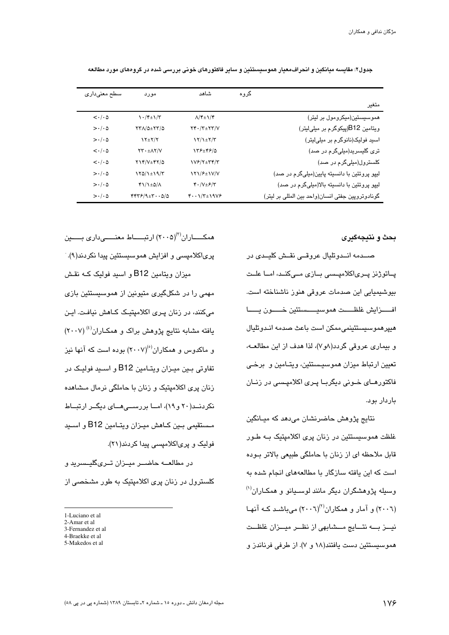| سطح معنىدارى                    | مورد                                               | شاهد                                                     | گروه |                                                  |
|---------------------------------|----------------------------------------------------|----------------------------------------------------------|------|--------------------------------------------------|
|                                 |                                                    |                                                          |      | متغير                                            |
| $\langle \cdot   \cdot \rangle$ | $\frac{\gamma + \gamma + \gamma}{\gamma + \gamma}$ | $\Lambda/\mathfrak{k} \pm \mathfrak{1}/\mathfrak{k}$     |      | هموسیستین(میکرومول بر لیتر)                      |
| $>\cdot/\cdot \Delta$           | <b>TTA/Q±TT/Q</b>                                  | $YY \cdot / Y \pm YY/V$                                  |      | ویتامین B12(پیکوگرم بر میلیلیتر)                 |
| $>\cdot/\cdot \Delta$           | $Y^{\pm Y}$                                        | $Y/\sqrt{\pm 1/\tau}$                                    |      | اسید فولیک(نانوگرم بر میلیلیتر)                  |
| $\langle \cdot   \cdot \rangle$ | $YY. \pm AY/V$                                     | 158±4810                                                 |      | تری گلیسرید(میلیگرم در صد)                       |
| $\langle \cdot   \cdot \rangle$ | $YY/Y_{\pm}YY$                                     | 1V&/2±54/3                                               |      | کلسترول(میلیگرم در صد)                           |
| $>\cdot/\cdot \Delta$           | $170/1 \pm 19/7$                                   | 171/۶±1V/V                                               |      | لیپو پروتئین با دانسیته پایین(میلیگرم در صد)     |
| $>\cdot/\cdot \Delta$           | $f\1/\frac{1}{2}$                                  | $\mathfrak{r}\cdot/\mathsf{V}\pm\mathfrak{F}/\mathsf{V}$ |      | لیپو پروتئین با دانسیته بالا(میلیگرم در صد)      |
| $>\cdot/\cdot \Delta$           | $YYY/9+Y\cdot Q/\Delta$                            | $f \cdot \cdot \frac{1}{\tau + 19V}$                     |      | گونادوتروپین جفتی انسان(واحد بین المللی بر لیتر) |

جدول۲: مقایسه میانگین و انحراف،معیار هموسیستئین و سایر فاکتورهای خونی بررسی شده در گروههای مورد مطالعه

بحث و نتيجهگيري

صـــدمه انـــدوتليال عروقـــي نقــش كليــدي در پــاتوژنز پــری|کلامپــسی بــازی مــیکنــد، امــا علــت بیوشیمیایی این صدمات عروقی هنوز ناشناخته است. هييرهموسيستئينمي،ممكن است باعث صدمه انـدوتليال و بیماری عروقی گردد(۸و۷)، لذا هدف از این مطالعــه، تعیین ارتباط میزان هموسیستئین، ویتـامین و برخـی فاکتورهــای خــونی دیگربــا پــری اکلامپــسی در زنــان باردار بود.

نتايج پژوهش حاضرنشان میدهد که میـانگین غلظت هموسیستئین در زنان پری اکلامپتیک بـه طـور قابل ملاحظه ای از زنان با حاملگی طبیعی بالاتر بـوده است که این یافته سازگار با مطالعههای انجام شده به وسیله پژوهشگران دیگر مانند لوسـیانو و همکـاران<sup>(۱)</sup> (۲۰۰٦) و آمار و همکاران<sup>(۲)</sup>(۲۰۰٦) میباشد کـه آنهـا نيــز بـــه نتــايج مــشابهى از نظــر ميــزان غلظــت هموسیستئین دست یافتند(۱۸ و ۷). از طرفی فرناندز و

همکــــــاران<sup>(۳)</sup>(۲۰۰۵) ارتبــــــاط معنـــــــىدارى بــــــين پری|کلامپسی و افزایش هموسیستئین پیدا نکردند(۹). میزان ویتامین B12 و اسید فولیک کــه نقـش مهمی را در شکلگیری متیونین از هموسیستئین بازی میکنند، در زنان پـری اکلامیتیـک کــاهش نیافـت. ایـن یافته مشابه نتایج پژوهش براک و همکـاران<sup>(٤)</sup> (٢٠٠٧) و ماکدوس و همکاران<sup>(٥)</sup>(٢٠٠٧) بوده است که آنها نیز تفاوتی بـین میـزان ویتـامین B12 و اسـید فولیـک در زنان پری اکلامیتیک و زنان با حاملگی نرمال مـشاهده نکردند(۲۰ و ۱۹)، امــا بررســـ هــای دیگــر ارتبــاط مستقیمی بـین کـاهش میـزان ویتـامین B12 و اسـید فولیک و پریاکلامپسی پیدا کردند(۲۱).

در مطالعــه حاضــر مبــزان تــری&لىــسرىد و کلسترول در زنان پری اکلامپتیک به طور مشخصی از

<sup>1-</sup>Luciano et al.

<sup>2-</sup>Amar et al

<sup>3-</sup>Fernandez et al

<sup>4-</sup>Braekke et al

<sup>5-</sup>Makedos et al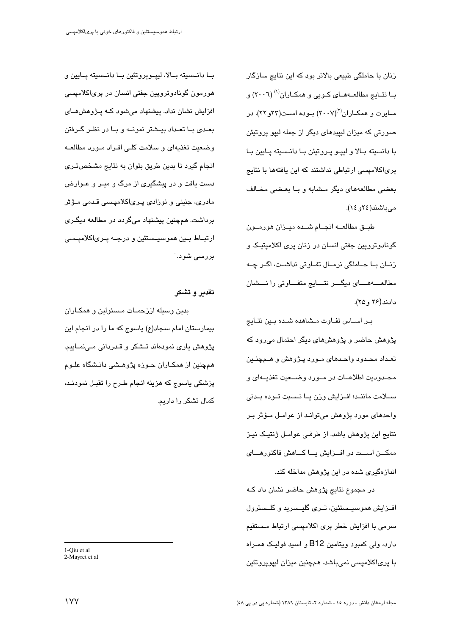زنان با حاملگی طبیعی بالاتر بود که این نتایج سازگار بــا نتــايج مطالعــهمــای کــويی و همکــاران<sup>(۱)</sup> (٢٠٠٦) و مـایرت و همکـاران<sup>(۲</sup>)(۲۰۰۷) بـوده اسـت(۲۲و ۲۲). در صورتی که میزان لیپیدهای دیگر از جمله لیپو پروتیئن با دانسيته بـالا و ليپـو پـروتيئن بـا دانـسيته پـايين بـا پری/کلامیسی ارتباطی نداشتند که این پافتهها یا نتایج بعضی مطالعههای دیگر مشابه و با بعضی مخالف مى باشند (٢٤ ق ١٤).

طبق مطالعـــه انجــام شــده ميــزان هورمــون گونادوتروپین جفتی انسان در زنان پری اکلامپتیک و زنــان بــا حــاملگي نرمــال تفــاوتي نداشــت، اگــر چــه مطالعــهمـــاي ديگـــر نتـــايج متفـــاوتى را نـــشان دادند (۲۶ و ۲۵).

بر اساس تفاوت مشاهده شده بين نتايج پژوهش حاضر و پژوهشهای دیگر احتمال می رود که تعـداد محـدود واحـدهای مـورد پـژوهش و هـمچنـین محـدوديت اطلاعــات در مــورد وضــعيت تغذيــهاى و سـلامت ماننـد؛ افـزايش وزن يـا نـسبت تـوده بـدنى واحدهای مورد پژوهش میتوانـد از عوامـل مـؤثر بـر نتایج این پژوهش باشد. از طرفی عوامـل ژنتیـک نیـز ممکــن اســت در افــزایش پــا کــاهش فاکتورهــای اندازهگیری شده در این پژوهش مداخله کند.

در مجموع نتایج پژوهش حاضر نشان داد کـه افـزایش هموسیـستئین، تـری گلیـسرید و کلـسترول سرمی با افزایش خطر پری اکلامیسی ارتباط مستقیم دارد، ولي کمبود ويتامين B12 و اسبد فوليـک همـراه با پریاکلامپسی نمیباشد. همچنین میزان لیپوپروتئین

بــا دانــسيته بــالا، لييــويروتئين بــا دانــسيته يــايين و هورمون گونادوتروپین جفتی انسان در پریاکلامپسی افزایش نشان نداد. پیشنهاد میشود کـه پـژوهشهـای بعـدی بــا تعـداد بېــشتر نمونــه و بــا در نظـر گــرفتن وضعیت تغذیهای و سلامت کلمی افـراد مـورد مطالعـه انجام گیرد تا بدین طریق بتوان به نتایج مشخصتری دست یافت و در پیشگیری از مرگ و میـر و عـوارض مادری، جنینی و نوزادی پـریاکلامیـِسی قـدمی مـؤثر برداشت. همچنین پیشنهاد میگردد در مطالعه دیگـری ارتبــاط بــین هموسىيــستئین و درجــه پــریاکلامپــسی بررسی شود. ٔ

### تقدير و تشكر

بدين وسبله اززحمـات مـسئولين و همكـاران بیمارستان امام سجاد(ع) یاسوج که ما را در انجام این پژوهش یاری نمودهاند تــشکر و قـدردانی مــینمــاییم. همچنین از همکـاران حـوزه پژوهــشی دانــشگاه علــوم پزشکی پاسوج که هزینه انجام طـرح را تقبـل نمودنـد، کمال تشکر را داریم.

<sup>1-</sup>Oiu et al 2-Mayret et al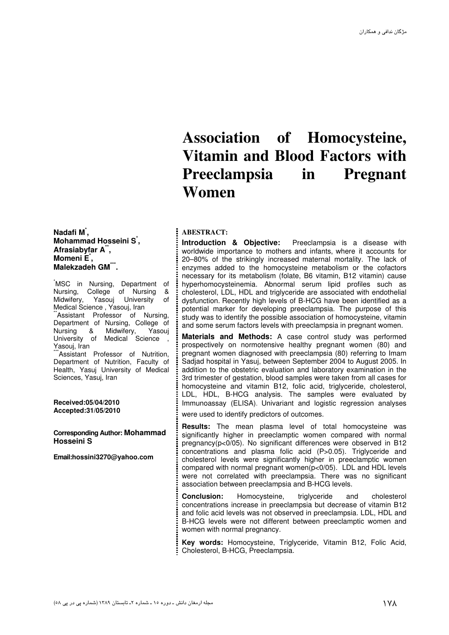## **Association of Homocysteine, Vitamin and Blood Factors with Preeclampsia in Pregnant Women**

#### **ABESTRACT:**

**Introduction & Objective:** Preeclampsia is a disease with worldwide importance to mothers and infants, where it accounts for 20–80% of the strikingly increased maternal mortality. The lack of enzymes added to the homocysteine metabolism or the cofactors necessary for its metabolism (folate, B6 vitamin, B12 vitamin) cause hyperhomocysteinemia. Abnormal serum lipid profiles such as cholesterol, LDL, HDL and triglyceride are associated with endothelial dysfunction. Recently high levels of B-HCG have been identified as a potential marker for developing preeclampsia. The purpose of this study was to identify the possible association of homocysteine, vitamin and some serum factors levels with preeclampsia in pregnant women.

**Materials and Methods:** A case control study was performed prospectively on normotensive healthy pregnant women (80) and pregnant women diagnosed with preeclampsia (80) referring to Imam Sadjad hospital in Yasuj, between September 2004 to August 2005. In addition to the obstetric evaluation and laboratory examination in the 3rd trimester of gestation, blood samples were taken from all cases for homocysteine and vitamin B12, folic acid, triglyceride, cholesterol, LDL, HDL, B-HCG analysis. The samples were evaluated by Immunoassay (ELISA). Univariant and logistic regression analyses were used to identify predictors of outcomes.

**Results:** The mean plasma level of total homocysteine was significantly higher in preeclamptic women compared with normal pregnancy(p<0/05). No significant differences were observed in B12 concentrations and plasma folic acid (P>0.05). Triglyceride and cholesterol levels were significantly higher in preeclamptic women compared with normal pregnant women(p<0/05). LDL and HDL levels were not correlated with preeclampsia. There was no significant association between preeclampsia and B-HCG levels.

**Conclusion:** Homocysteine, triglyceride and cholesterol concentrations increase in preeclampsia but decrease of vitamin B12 and folic acid levels was not observed in preeclampsia. LDL, HDL and B-HCG levels were not different between preeclamptic women and women with normal pregnancy.

**Key words:** Homocysteine, Triglyceride, Vitamin B12, Folic Acid, Cholesterol, B-HCG, Preeclampsia.

**Nadafi M\* , Mohammad Hosseini S\* , Afrasiabyfar A\*\* , Momeni E\* , Malekzadeh GM\*\*\* .** 

.<br>MSC in Nursing, Department of<br>Nursing, College of Nursing & Nursing, College of Nursing Midwifery, Yasouj University of Medical Science , Yasouj, Iran Assistant Professor of Nursing, Department of Nursing, College of<br>Nursing & Midwifery, Yasouj Nursing & University of Medical Science Yasouj, Iran

\*Assistant Professor of Nutrition, Department of Nutrition, Faculty of Health, Yasuj University of Medical Sciences, Yasuj, Iran

**Received:05/04/2010 Accepted:31/05/2010** 

**Corresponding Author: Mohammad Hosseini S** 

**Email:hossini3270@yahoo.com**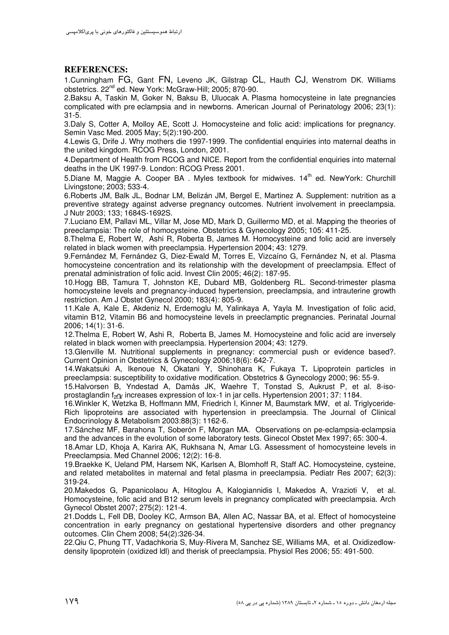### **REFERENCES:**

1.Cunningham FG, Gant FN, Leveno JK, Gilstrap CL, Hauth CJ, Wenstrom DK. Williams obstetrics. 22nd ed. New York: McGraw-Hill; 2005; 870-90.

2.Baksu A, Taskin M, Goker N, Baksu B, Uluocak A. Plasma homocysteine in late pregnancies complicated with pre eclampsia and in newborns. American Journal of Perinatology 2006; 23(1): 31-5.

3.Daly S, Cotter A, Molloy AE, Scott J. Homocysteine and folic acid: implications for pregnancy. Semin Vasc Med. 2005 May; 5(2):190-200.

4.Lewis G, Drife J. Why mothers die 1997-1999. The confidential enquiries into maternal deaths in the united kingdom. RCOG Press, London, 2001.

4.Department of Health from RCOG and NICE. Report from the confidential enquiries into maternal deaths in the UK 1997-9. London: RCOG Press 2001.

5.Diane M. Maggie A. Cooper BA, Myles textbook for midwives, 14<sup>th</sup> ed. NewYork: Churchill Livingstone; 2003; 533-4.

6.Roberts JM, Balk JL, Bodnar LM, Belizán JM, Bergel E, Martinez A. Supplement: nutrition as a preventive strategy against adverse pregnancy outcomes. Nutrient involvement in preeclampsia. J Nutr 2003; 133; 1684S-1692S.

7.Luciano EM, Pallavi ML, Villar M, Jose MD, Mark D, Guillermo MD, et al. Mapping the theories of preeclampsia: The role of homocysteine. Obstetrics & Gynecology 2005; 105: 411-25.

8.Thelma E, Robert W, Ashi R, Roberta B, James M. Homocysteine and folic acid are inversely related in black women with preeclampsia. Hypertension 2004; 43: 1279.

9.Fernández M, Fernández G, Diez-Ewald M, Torres E, Vizcaíno G, Fernández N, et al. Plasma homocysteine concentration and its relationship with the development of preeclampsia. Effect of prenatal administration of folic acid. Invest Clin 2005; 46(2): 187-95.

10.Hogg BB, Tamura T, Johnston KE, Dubard MB, Goldenberg RL. Second-trimester plasma homocysteine levels and pregnancy-induced hypertension, preeclampsia, and intrauterine growth restriction. Am J Obstet Gynecol 2000; 183(4): 805-9.

11.Kale A, Kale E, Akdeniz N, Erdemoglu M, Yalinkaya A, Yayla M. Investigation of folic acid, vitamin B12, Vitamin B6 and homocysteine levels in preeclamptic pregnancies. Perinatal Journal 2006; 14(1): 31-6.

12.Thelma E, Robert W, Ashi R, Roberta B, James M. Homocysteine and folic acid are inversely related in black women with preeclampsia. Hypertension 2004; 43: 1279.

13.Glenville M. Nutritional supplements in pregnancy: commercial push or evidence based?. Current Opinion in Obstetrics & Gynecology 2006;18(6): 642-7.

14.Wakatsuki A, Ikenoue N, Okatani Y, Shinohara K, Fukaya T**.** Lipoprotein particles in preeclampsia: susceptibility to oxidative modification. Obstetrics & Gynecology 2000; 96: 55-9.

15.Halvorsen B, Yndestad A, Damås JK, Waehre T, Tonstad S, Aukrust P, et al. 8-isoprostaglandin f<sub>2</sub> increases expression of lox-1 in jar cells. Hypertension 2001; 37: 1184.

16.Winkler K, Wetzka B, Hoffmann MM, Friedrich I, Kinner M, Baumstark MW, et al. Triglyceride-Rich lipoproteins are associated with hypertension in preeclampsia. The Journal of Clinical Endocrinology & Metabolism 2003:88(3): 1162-6.

17.Sánchez MF, Barahona T, Soberón F, Morgan MA. Observations on pe-eclampsia-eclampsia and the advances in the evolution of some laboratory tests. Ginecol Obstet Mex 1997; 65: 300-4.

18.Amar LD, Khoja A, Karira AK, Rukhsana N, Amar LG. Assessment of homocysteine levels in Preeclampsia. Med Channel 2006; 12(2): 16-8.

19.Braekke K, Ueland PM, Harsem NK, Karlsen A, Blomhoff R, Staff AC. Homocysteine, cysteine, and related metabolites in maternal and fetal plasma in preeclampsia. Pediatr Res 2007; 62(3): 319-24.

20.Makedos G, Papanicolaou A, Hitoglou A, Kalogiannidis I, Makedos A, Vrazioti V, et al. Homocysteine, folic acid and B12 serum levels in pregnancy complicated with preeclampsia. Arch Gynecol Obstet 2007; 275(2): 121-4.

21.Dodds L, Fell DB, Dooley KC, Armson BA, Allen AC, Nassar BA, et al. Effect of homocysteine concentration in early pregnancy on gestational hypertensive disorders and other pregnancy outcomes. Clin Chem 2008; 54(2):326-34.

22.Qiu C, Phung TT, Vadachkoria S, Muy-Rivera M, Sanchez SE, Williams MA,et al. Oxidizedlowdensity lipoprotein (oxidized ldl) and therisk of preeclampsia. Physiol Res 2006; 55: 491-500.